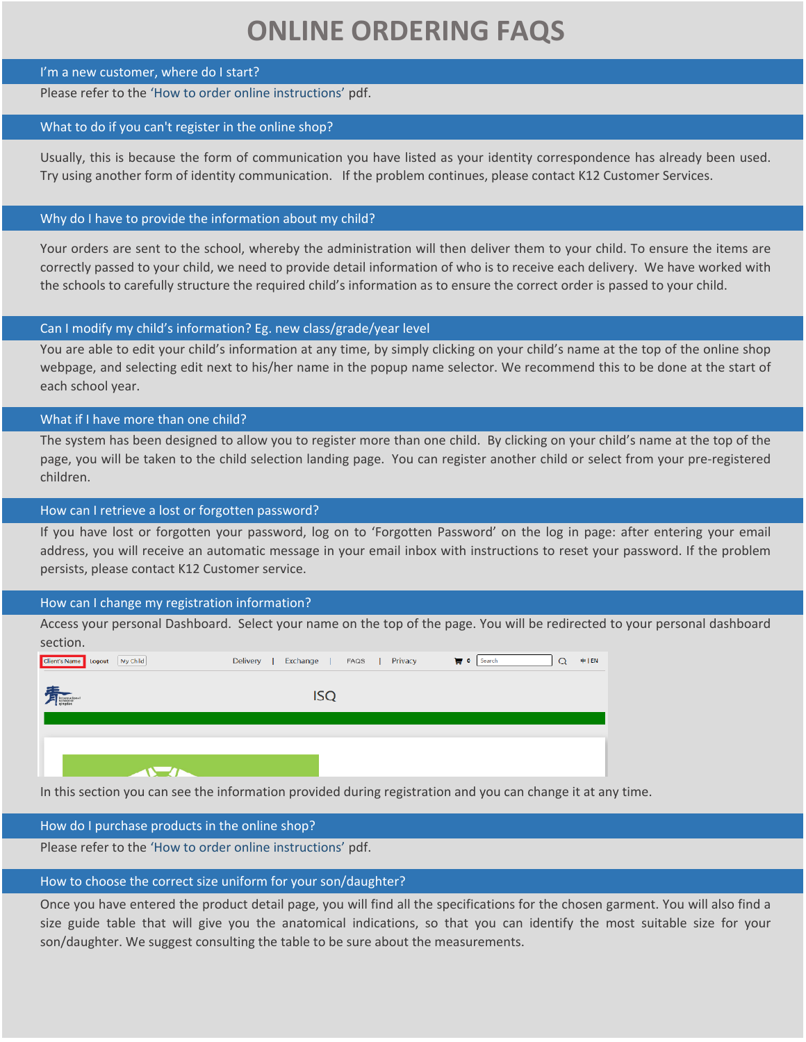# **ONLINE ORDERING FAQS**

#### I'm a new customer, where do I start?

# Please refer to the 'How to order online instructions' pdf.

#### What to do if you can't register in the online shop?

Usually, this is because the form of communication you have listed as your identity correspondence has already been used. Try using another form of identity communication. If the problem continues, please contact K12 Customer Services.

# Why do I have to provide the information about my child?

Your orders are sent to the school, whereby the administration will then deliver them to your child. To ensure the items are correctly passed to your child, we need to provide detail information of who is to receive each delivery. We have worked with the schools to carefully structure the required child's information as to ensure the correct order is passed to your child.

# Can I modify my child's information? Eg. new class/grade/year level

You are able to edit your child's information at any time, by simply clicking on your child's name at the top of the online shop webpage, and selecting edit next to his/her name in the popup name selector. We recommend this to be done at the start of each school year.

# What if I have more than one child?

The system has been designed to allow you to register more than one child. By clicking on your child's name at the top of the page, you will be taken to the child selection landing page. You can register another child or select from your pre‐registered children.

# How can I retrieve a lost or forgotten password?

If you have lost or forgotten your password, log on to 'Forgotten Password' on the log in page: after entering your email address, you will receive an automatic message in your email inbox with instructions to reset your password. If the problem persists, please contact K12 Customer service.

#### How can I change my registration information?

Access your personal Dashboard. Select your name on the top of the page. You will be redirected to your personal dashboard section.

| Client's Name Logout My Child | Exchange  <br>Delivery | FAQS   Privacy | $\overline{u}$ 0 Search<br>$\Omega$ | $#$  EN |
|-------------------------------|------------------------|----------------|-------------------------------------|---------|
| International                 | <b>ISQ</b>             |                |                                     |         |
|                               |                        |                |                                     |         |
|                               |                        |                |                                     |         |
|                               |                        |                |                                     |         |
|                               |                        |                |                                     |         |

In this section you can see the information provided during registration and you can change it at any time.

# How do I purchase products in the online shop?

Please refer to the 'How to order online instructions' pdf.

# How to choose the correct size uniform for your son/daughter?

Once you have entered the product detail page, you will find all the specifications for the chosen garment. You will also find a size guide table that will give you the anatomical indications, so that you can identify the most suitable size for your son/daughter. We suggest consulting the table to be sure about the measurements.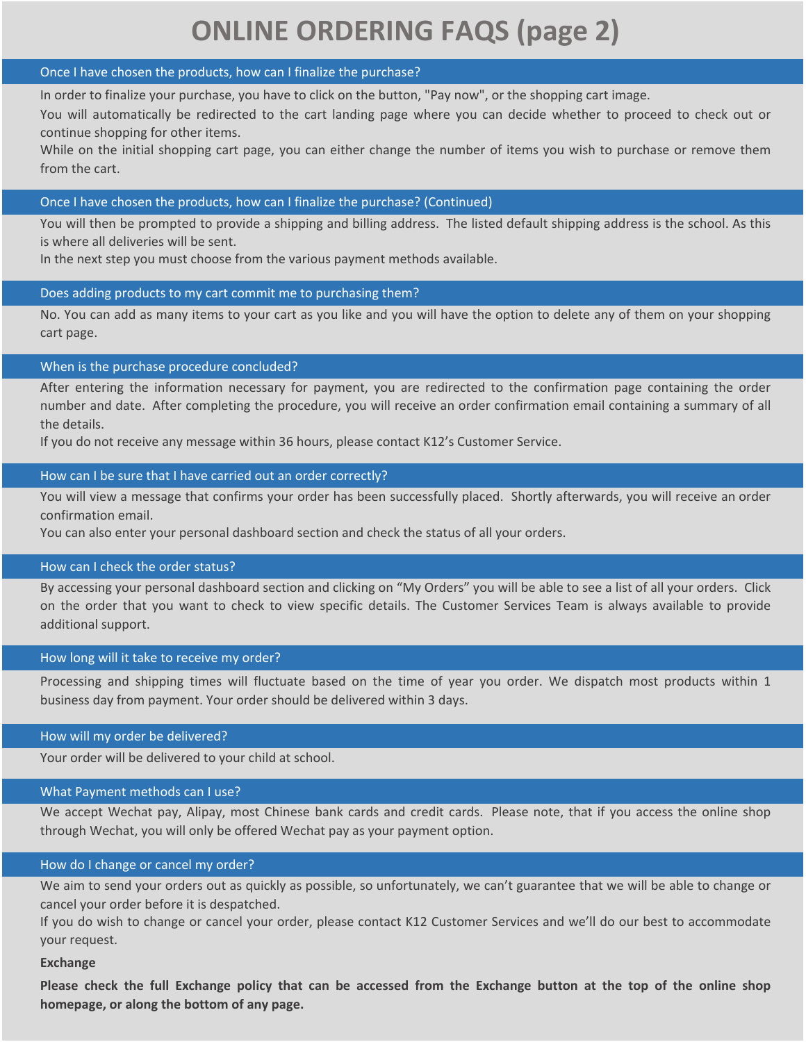# **ONLINE ORDERING FAQS (page 2)**

#### Once I have chosen the products, how can I finalize the purchase?

In order to finalize your purchase, you have to click on the button, "Pay now", or the shopping cart image.

You will automatically be redirected to the cart landing page where you can decide whether to proceed to check out or continue shopping for other items.

While on the initial shopping cart page, you can either change the number of items you wish to purchase or remove them from the cart.

# Once I have chosen the products, how can I finalize the purchase? (Continued)

You will then be prompted to provide a shipping and billing address. The listed default shipping address is the school. As this is where all deliveries will be sent.

In the next step you must choose from the various payment methods available.

# Does adding products to my cart commit me to purchasing them?

No. You can add as many items to your cart as you like and you will have the option to delete any of them on your shopping cart page.

# When is the purchase procedure concluded?

After entering the information necessary for payment, you are redirected to the confirmation page containing the order number and date. After completing the procedure, you will receive an order confirmation email containing a summary of all the details.

If you do not receive any message within 36 hours, please contact K12's Customer Service.

# How can I be sure that I have carried out an order correctly?

You will view a message that confirms your order has been successfully placed. Shortly afterwards, you will receive an order confirmation email.

You can also enter your personal dashboard section and check the status of all your orders.

#### How can I check the order status?

By accessing your personal dashboard section and clicking on "My Orders" you will be able to see a list of all your orders. Click on the order that you want to check to view specific details. The Customer Services Team is always available to provide additional support.

#### How long will it take to receive my order?

Processing and shipping times will fluctuate based on the time of year you order. We dispatch most products within 1 business day from payment. Your order should be delivered within 3 days.

#### How will my order be delivered?

Your order will be delivered to your child at school.

#### What Payment methods can I use?

We accept Wechat pay, Alipay, most Chinese bank cards and credit cards. Please note, that if you access the online shop through Wechat, you will only be offered Wechat pay as your payment option.

#### How do I change or cancel my order?

We aim to send your orders out as quickly as possible, so unfortunately, we can't guarantee that we will be able to change or cancel your order before it is despatched.

If you do wish to change or cancel your order, please contact K12 Customer Services and we'll do our best to accommodate your request.

#### **Exchange**

i<br>L

**Please check the full Exchange policy that can be accessed from the Exchange button at the top of the online shop homepage, or along the bottom of any page.**